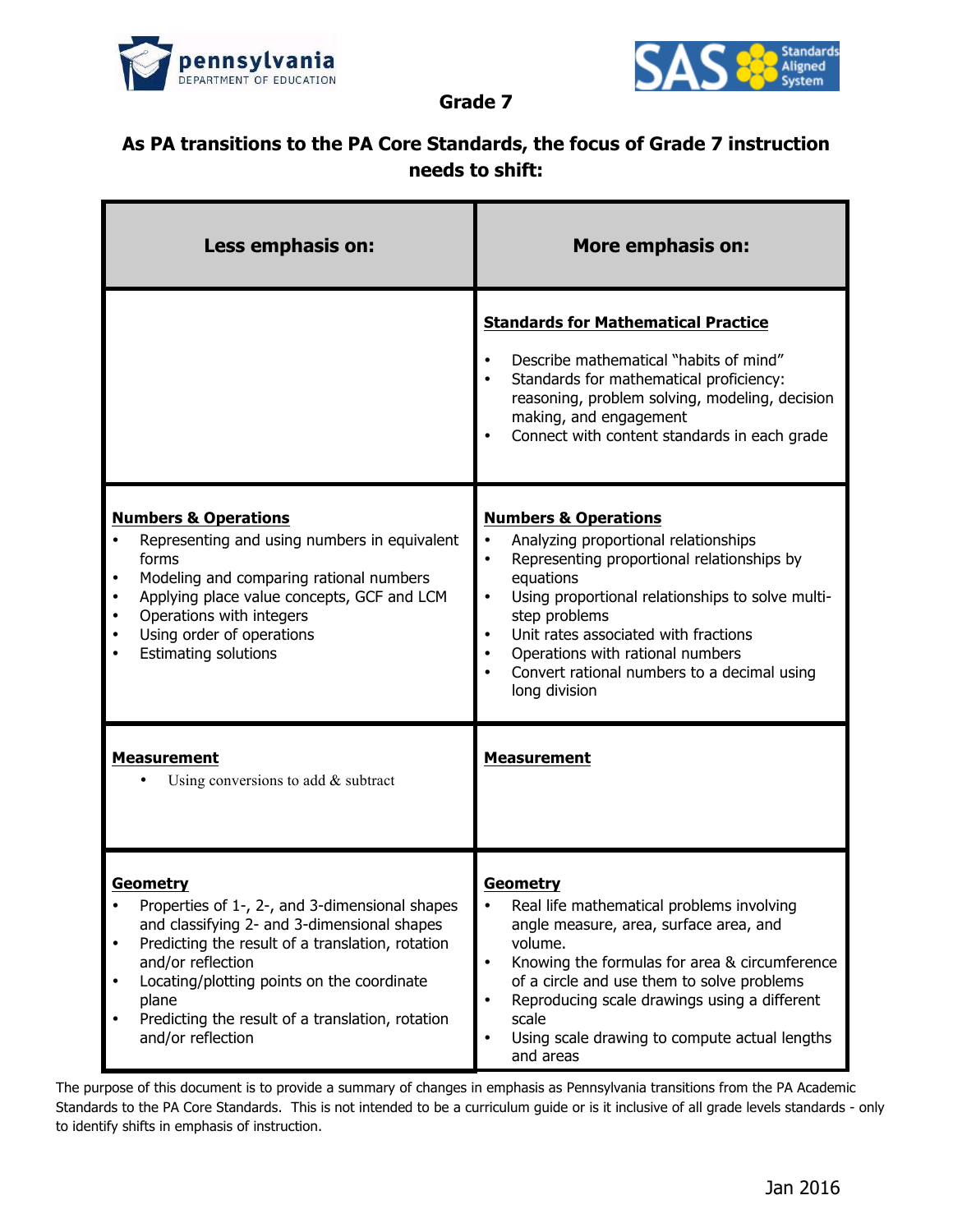



**Grade 7**

## **As PA transitions to the PA Core Standards, the focus of Grade 7 instruction needs to shift:**

| Less emphasis on:                                                                                                                                                                                                                                                                                                         | More emphasis on:                                                                                                                                                                                                                                                                                                                                    |
|---------------------------------------------------------------------------------------------------------------------------------------------------------------------------------------------------------------------------------------------------------------------------------------------------------------------------|------------------------------------------------------------------------------------------------------------------------------------------------------------------------------------------------------------------------------------------------------------------------------------------------------------------------------------------------------|
|                                                                                                                                                                                                                                                                                                                           | <b>Standards for Mathematical Practice</b><br>Describe mathematical "habits of mind"<br>Standards for mathematical proficiency:<br>reasoning, problem solving, modeling, decision<br>making, and engagement<br>Connect with content standards in each grade                                                                                          |
| <b>Numbers &amp; Operations</b><br>Representing and using numbers in equivalent<br>forms<br>Modeling and comparing rational numbers<br>Applying place value concepts, GCF and LCM<br>Operations with integers<br>Using order of operations<br><b>Estimating solutions</b>                                                 | <b>Numbers &amp; Operations</b><br>Analyzing proportional relationships<br>Representing proportional relationships by<br>equations<br>Using proportional relationships to solve multi-<br>step problems<br>Unit rates associated with fractions<br>Operations with rational numbers<br>Convert rational numbers to a decimal using<br>long division  |
| <b>Measurement</b><br>Using conversions to add $&$ subtract                                                                                                                                                                                                                                                               | <b>Measurement</b>                                                                                                                                                                                                                                                                                                                                   |
| <b>Geometry</b><br>Properties of 1-, 2-, and 3-dimensional shapes<br>and classifying 2- and 3-dimensional shapes<br>Predicting the result of a translation, rotation<br>and/or reflection<br>Locating/plotting points on the coordinate<br>plane<br>Predicting the result of a translation, rotation<br>and/or reflection | <b>Geometry</b><br>Real life mathematical problems involving<br>angle measure, area, surface area, and<br>volume.<br>Knowing the formulas for area & circumference<br>$\bullet$<br>of a circle and use them to solve problems<br>Reproducing scale drawings using a different<br>scale<br>Using scale drawing to compute actual lengths<br>and areas |

The purpose of this document is to provide a summary of changes in emphasis as Pennsylvania transitions from the PA Academic Standards to the PA Core Standards. This is not intended to be a curriculum guide or is it inclusive of all grade levels standards - only to identify shifts in emphasis of instruction.